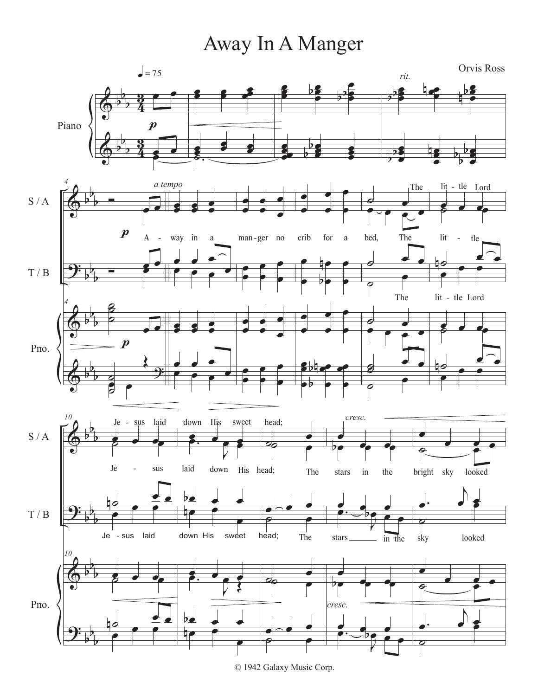## Away In A Manger



<sup>© 1942</sup> Galaxy Music Corp.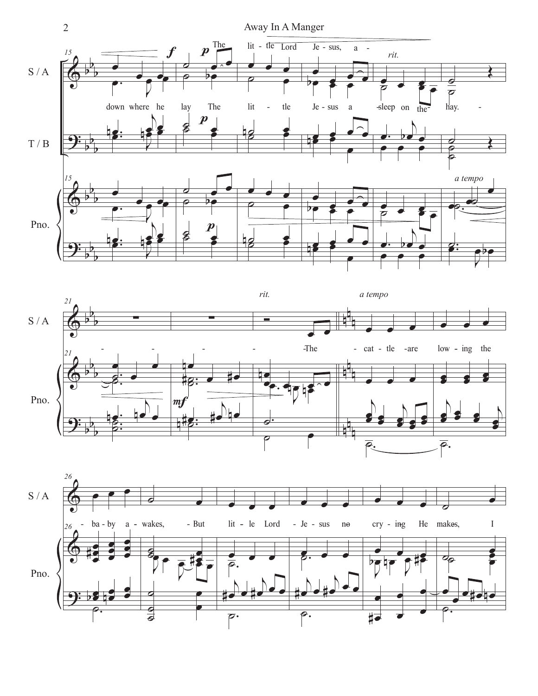



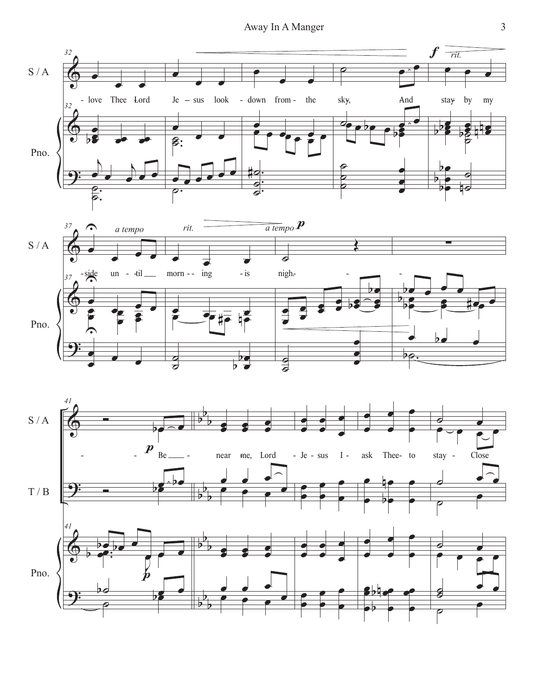